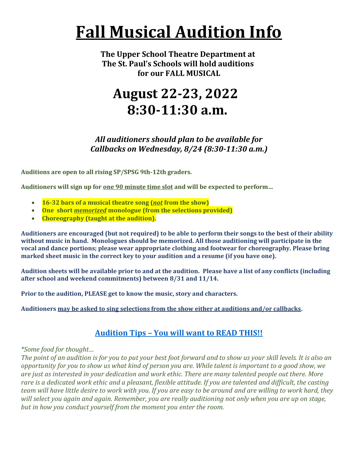# **Fall Musical Audition Info**

**The Upper School Theatre Department at The St. Paul's Schools will hold auditions for our FALL MUSICAL**

### **August 22-23, 2022 8:30-11:30 a.m.**

*All auditioners should plan to be available for Callbacks on Wednesday, 8/24 (8:30-11:30 a.m.)*

**Auditions are open to all rising SP/SPSG 9th-12th graders.**

**Auditioners will sign up for one 90 minute time slot and will be expected to perform…**

- **16-32 bars of a musical theatre song (***not* **from the show)**
- **One short** *memorized* **monologue (from the selections provided)**
- **Choreography (taught at the audition).**

**Auditioners are encouraged (but not required) to be able to perform their songs to the best of their ability without music in hand. Monologues should be memorized. All those auditioning will participate in the vocal and dance portions; please wear appropriate clothing and footwear for choreography. Please bring marked sheet music in the correct key to your audition and a resume (if you have one).**

**Audition sheets will be available prior to and at the audition. Please have a list of any conflicts (including after school and weekend commitments) between 8/31 and 11/14.**

**Prior to the audition, PLEASE get to know the music, story and characters.** 

**Auditioners may be asked to sing selections from the show either at auditions and/or callbacks.**

#### **Audition Tips – [You will want to READ THIS!!](https://studentsstpaulsschool-my.sharepoint.com/:w:/g/personal/ckemmerer_stpaulsmd_org/EVj6NHmZUNhKnndgppaVJQ4BhHZtf-qzj0nwXPNxMQKtZg?e=007cGI)**

*\*Some food for thought…*

*The point of an audition is for you to put your best foot forward and to show us your skill levels. It is also an opportunity for you to show us what kind of person you are. While talent is important to a good show, we are just as interested in your dedication and work ethic. There are many talented people out there. More rare is a dedicated work ethic and a pleasant, flexible attitude. If you are talented and difficult, the casting team will have little desire to work with you. If you are easy to be around and are willing to work hard, they will select you again and again. Remember, you are really auditioning not only when you are up on stage, but in how you conduct yourself from the moment you enter the room.*